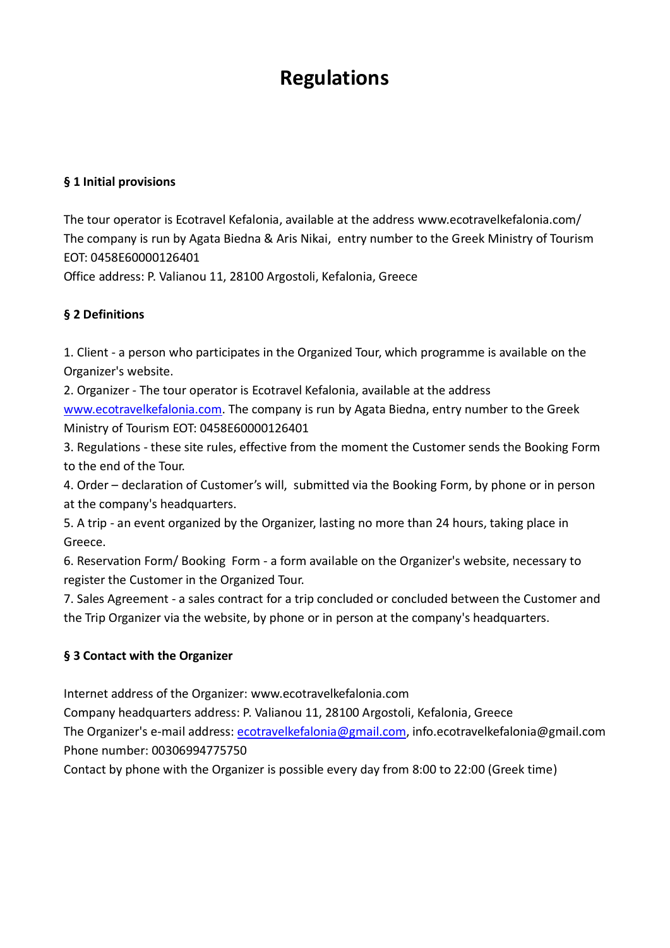# **Regulations**

#### **§ 1 Initial provisions**

The tour operator is Ecotravel Kefalonia, available at the address www.ecotravelkefalonia.com/ The company is run by Agata Biedna & Aris Nikai, entry number to the Greek Ministry of Tourism EOT: 0458E60000126401

Office address: P. Valianou 11, 28100 Argostoli, Kefalonia, Greece

#### **§ 2 Definitions**

1. Client - a person who participates in the Organized Tour, which programme is available on the Organizer's website.

2. Organizer - The tour operator is Ecotravel Kefalonia, available at the address [www.ecotravelkefalonia.com.](http://www.ecotravelkefalonia.com/) The company is run by Agata Biedna, entry number to the Greek Ministry of Tourism EOT: 0458E60000126401

3. Regulations - these site rules, effective from the moment the Customer sends the Booking Form to the end of the Tour.

4. Order – declaration of Customer's will, submitted via the Booking Form, by phone or in person at the company's headquarters.

5. A trip - an event organized by the Organizer, lasting no more than 24 hours, taking place in Greece.

6. Reservation Form/ Booking Form - a form available on the Organizer's website, necessary to register the Customer in the Organized Tour.

7. Sales Agreement - a sales contract for a trip concluded or concluded between the Customer and the Trip Organizer via the website, by phone or in person at the company's headquarters.

#### **§ 3 Contact with the Organizer**

Internet address of the Organizer: www.ecotravelkefalonia.com

Company headquarters address: P. Valianou 11, 28100 Argostoli, Kefalonia, Greece The Organizer's e-mail address: [ecotravelkefalonia@gmail.com,](mailto:ecotravelkefalonia@gmail.com) info.ecotravelkefalonia@gmail.com Phone number: 00306994775750

Contact by phone with the Organizer is possible every day from 8:00 to 22:00 (Greek time)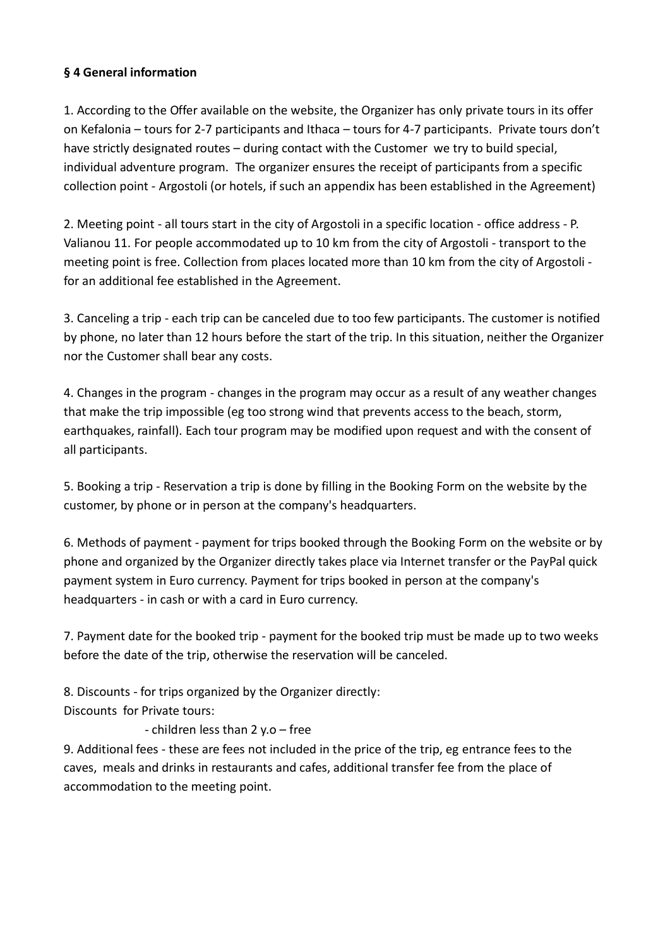#### **§ 4 General information**

1. According to the Offer available on the website, the Organizer has only private tours in its offer on Kefalonia – tours for 2-7 participants and Ithaca – tours for 4-7 participants. Private tours don't have strictly designated routes – during contact with the Customer we try to build special, individual adventure program. The organizer ensures the receipt of participants from a specific collection point - Argostoli (or hotels, if such an appendix has been established in the Agreement)

2. Meeting point - all tours start in the city of Argostoli in a specific location - office address - P. Valianou 11. For people accommodated up to 10 km from the city of Argostoli - transport to the meeting point is free. Collection from places located more than 10 km from the city of Argostoli for an additional fee established in the Agreement.

3. Canceling a trip - each trip can be canceled due to too few participants. The customer is notified by phone, no later than 12 hours before the start of the trip. In this situation, neither the Organizer nor the Customer shall bear any costs.

4. Changes in the program - changes in the program may occur as a result of any weather changes that make the trip impossible (eg too strong wind that prevents access to the beach, storm, earthquakes, rainfall). Each tour program may be modified upon request and with the consent of all participants.

5. Booking a trip - Reservation a trip is done by filling in the Booking Form on the website by the customer, by phone or in person at the company's headquarters.

6. Methods of payment - payment for trips booked through the Booking Form on the website or by phone and organized by the Organizer directly takes place via Internet transfer or the PayPal quick payment system in Euro currency. Payment for trips booked in person at the company's headquarters - in cash or with a card in Euro currency.

7. Payment date for the booked trip - payment for the booked trip must be made up to two weeks before the date of the trip, otherwise the reservation will be canceled.

8. Discounts - for trips organized by the Organizer directly: Discounts for Private tours:

#### - children less than 2 y.o – free

9. Additional fees - these are fees not included in the price of the trip, eg entrance fees to the caves, meals and drinks in restaurants and cafes, additional transfer fee from the place of accommodation to the meeting point.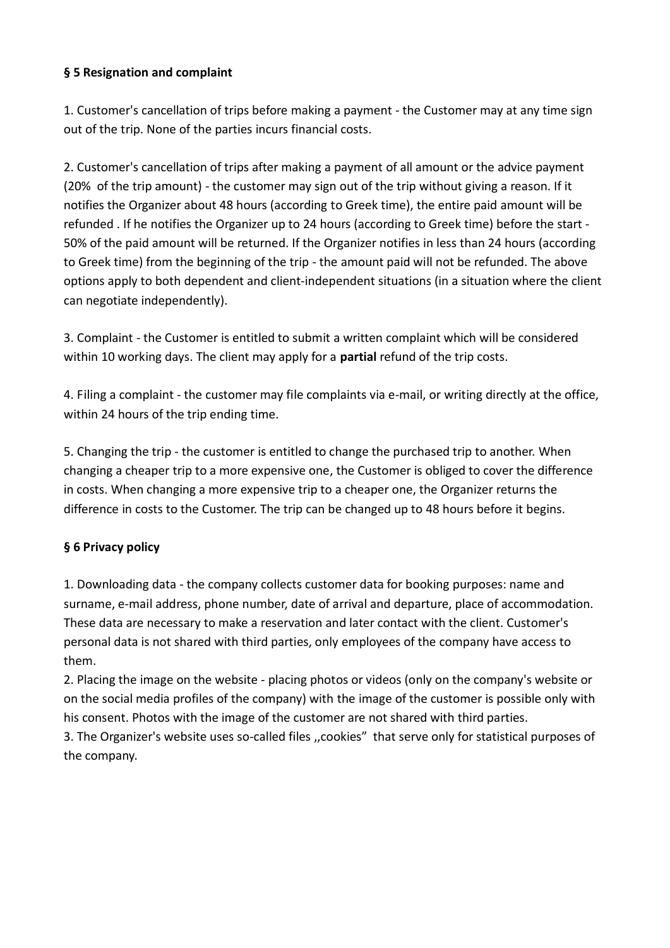#### **§ 5 Resignation and complaint**

1. Customer's cancellation of trips before making a payment - the Customer may at any time sign out of the trip. None of the parties incurs financial costs.

2. Customer's cancellation of trips after making a payment of all amount or the advice payment (20% of the trip amount) - the customer may sign out of the trip without giving a reason. If it notifies the Organizer about 48 hours (according to Greek time), the entire paid amount will be refunded . If he notifies the Organizer up to 24 hours (according to Greek time) before the start - 50% of the paid amount will be returned. If the Organizer notifies in less than 24 hours (according to Greek time) from the beginning of the trip - the amount paid will not be refunded. The above options apply to both dependent and client-independent situations (in a situation where the client can negotiate independently).

3. Complaint - the Customer is entitled to submit a written complaint which will be considered within 10 working days. The client may apply for a **partial** refund of the trip costs.

4. Filing a complaint - the customer may file complaints via e-mail, or writing directly at the office, within 24 hours of the trip ending time.

5. Changing the trip - the customer is entitled to change the purchased trip to another. When changing a cheaper trip to a more expensive one, the Customer is obliged to cover the difference in costs. When changing a more expensive trip to a cheaper one, the Organizer returns the difference in costs to the Customer. The trip can be changed up to 48 hours before it begins.

### **§ 6 Privacy policy**

1. Downloading data - the company collects customer data for booking purposes: name and surname, e-mail address, phone number, date of arrival and departure, place of accommodation. These data are necessary to make a reservation and later contact with the client. Customer's personal data is not shared with third parties, only employees of the company have access to them.

2. Placing the image on the website - placing photos or videos (only on the company's website or on the social media profiles of the company) with the image of the customer is possible only with his consent. Photos with the image of the customer are not shared with third parties.

3. The Organizer's website uses so-called files ,,cookies" that serve only for statistical purposes of the company.